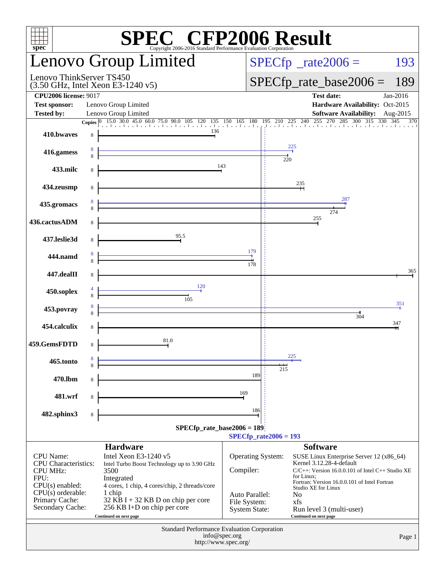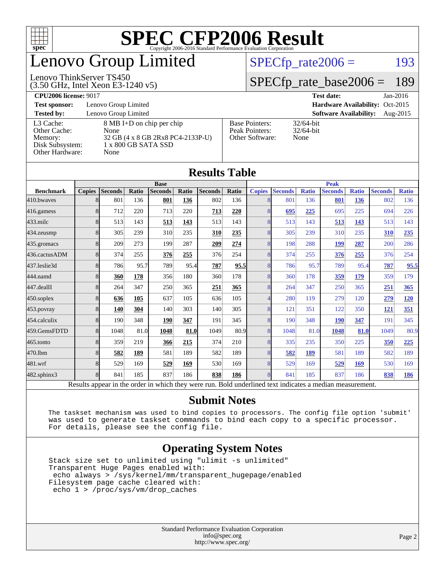

### enovo Group Limited

#### Lenovo ThinkServer TS450

(3.50 GHz, Intel Xeon E3-1240 v5)

 $SPECTp_rate2006 = 193$ 

#### [SPECfp\\_rate\\_base2006 =](http://www.spec.org/auto/cpu2006/Docs/result-fields.html#SPECfpratebase2006) 189

| <b>Test date:</b> | $Jan-2016$ |
|-------------------|------------|
|                   |            |

**[Test sponsor:](http://www.spec.org/auto/cpu2006/Docs/result-fields.html#Testsponsor)** Lenovo Group Limited **[Hardware Availability:](http://www.spec.org/auto/cpu2006/Docs/result-fields.html#HardwareAvailability)** Oct-2015

**[Tested by:](http://www.spec.org/auto/cpu2006/Docs/result-fields.html#Testedby)** Lenovo Group Limited **[Software Availability:](http://www.spec.org/auto/cpu2006/Docs/result-fields.html#SoftwareAvailability)** Aug-2015

[Base Pointers:](http://www.spec.org/auto/cpu2006/Docs/result-fields.html#BasePointers) 32/64-bit<br>Peak Pointers: 32/64-bit

[Other Software:](http://www.spec.org/auto/cpu2006/Docs/result-fields.html#OtherSoftware) None

[Peak Pointers:](http://www.spec.org/auto/cpu2006/Docs/result-fields.html#PeakPointers)

[L3 Cache:](http://www.spec.org/auto/cpu2006/Docs/result-fields.html#L3Cache) 8 MB I+D on chip per chip<br>Other Cache: None [Other Cache:](http://www.spec.org/auto/cpu2006/Docs/result-fields.html#OtherCache) [Memory:](http://www.spec.org/auto/cpu2006/Docs/result-fields.html#Memory) 32 GB (4 x 8 GB 2Rx8 PC4-2133P-U) [Disk Subsystem:](http://www.spec.org/auto/cpu2006/Docs/result-fields.html#DiskSubsystem) 1 x 800 GB SATA SSD [Other Hardware:](http://www.spec.org/auto/cpu2006/Docs/result-fields.html#OtherHardware) None

|                  |                |                |       |                |       | <b>Results Table</b> |       |               |                |              |                |              |                |              |
|------------------|----------------|----------------|-------|----------------|-------|----------------------|-------|---------------|----------------|--------------|----------------|--------------|----------------|--------------|
|                  |                |                |       | <b>Base</b>    |       |                      |       |               |                |              | <b>Peak</b>    |              |                |              |
| <b>Benchmark</b> | <b>Copies</b>  | <b>Seconds</b> | Ratio | <b>Seconds</b> | Ratio | <b>Seconds</b>       | Ratio | <b>Copies</b> | <b>Seconds</b> | <b>Ratio</b> | <b>Seconds</b> | <b>Ratio</b> | <b>Seconds</b> | <b>Ratio</b> |
| 410.bwayes       |                | 801            | 136   | 801            | 136   | 802                  | 136   |               | 801            | 136          | 801            | 136          | 802            | 136          |
| 416.gamess       | 8              | 712            | 220   | 713            | 220   | 713                  | 220   |               | 695            | 225          | 695            | 225          | 694            | 226          |
| $433$ .milc      | 8              | 513            | 143   | 513            | 143   | 513                  | 143   |               | 513            | 143          | 513            | 143          | 513            | 143          |
| 434.zeusmp       | 8 <sup>1</sup> | 305            | 239   | 310            | 235   | 310                  | 235   |               | 305            | 239          | 310            | 235          | 310            | 235          |
| 435.gromacs      | 8              | 209            | 273   | 199            | 287   | 209                  | 274   |               | 198            | 288          | 199            | 287          | 200            | 286          |
| 436.cactusADM    | 8              | 374            | 255   | 376            | 255   | 376                  | 254   |               | 374            | 255          | 376            | 255          | 376            | 254          |
| 437.leslie3d     | 8              | 786            | 95.7  | 789            | 95.4  | 787                  | 95.5  |               | 786            | 95.7         | 789            | 95.4         | 787            | 95.5         |
| 444.namd         | 8              | 360            | 178   | 356            | 180   | 360                  | 178   |               | 360            | 178          | 359            | 179          | 359            | 179          |
| 447.dealII       | 8 <sup>1</sup> | 264            | 347   | 250            | 365   | 251                  | 365   |               | 264            | 347          | 250            | 365          | 251            | 365          |
| 450.soplex       | 8              | 636            | 105   | 637            | 105   | 636                  | 105   |               | 280            | 119          | 279            | 120          | 279            | <b>120</b>   |
| 453.povray       | 8 <sup>1</sup> | 140            | 304   | 140            | 303   | 140                  | 305   |               | 121            | 351          | 122            | 350          | <b>121</b>     | 351          |
| 454.calculix     | $\overline{8}$ | <b>190</b>     | 348   | <b>190</b>     | 347   | 191                  | 345   |               | 190            | 348          | <b>190</b>     | 347          | 191            | 345          |
| 459.GemsFDTD     | 8              | 1048           | 81.0  | 1048           | 81.0  | 1049                 | 80.9  | 8             | 1048           | 81.0         | 1048           | 81.0         | 1049           | 80.9         |
| 465.tonto        | 8              | 359            | 219   | 366            | 215   | 374                  | 210   |               | 335            | 235          | 350            | 225          | 350            | 225          |
| 470.1bm          | 8              | 582            | 189   | 581            | 189   | 582                  | 189   |               | 582            | 189          | 581            | 189          | 582            | 189          |
| 481.wrf          | 8              | 529            | 169   | 529            | 169   | 530                  | 169   |               | 529            | 169          | 529            | 169          | 530            | 169          |
|                  |                |                |       |                |       |                      |       |               |                |              |                |              |                |              |

Results appear in the [order in which they were run.](http://www.spec.org/auto/cpu2006/Docs/result-fields.html#RunOrder) Bold underlined text [indicates a median measurement.](http://www.spec.org/auto/cpu2006/Docs/result-fields.html#Median) **[Submit Notes](http://www.spec.org/auto/cpu2006/Docs/result-fields.html#SubmitNotes)**

[482.sphinx3](http://www.spec.org/auto/cpu2006/Docs/482.sphinx3.html) 8 841 185 837 186 **[838](http://www.spec.org/auto/cpu2006/Docs/result-fields.html#Median) [186](http://www.spec.org/auto/cpu2006/Docs/result-fields.html#Median)** 8 841 185 837 186 **[838](http://www.spec.org/auto/cpu2006/Docs/result-fields.html#Median) [186](http://www.spec.org/auto/cpu2006/Docs/result-fields.html#Median)**

 The taskset mechanism was used to bind copies to processors. The config file option 'submit' was used to generate taskset commands to bind each copy to a specific processor. For details, please see the config file.

#### **[Operating System Notes](http://www.spec.org/auto/cpu2006/Docs/result-fields.html#OperatingSystemNotes)**

 Stack size set to unlimited using "ulimit -s unlimited" Transparent Huge Pages enabled with: echo always > /sys/kernel/mm/transparent\_hugepage/enabled Filesystem page cache cleared with: echo 1 > /proc/sys/vm/drop\_caches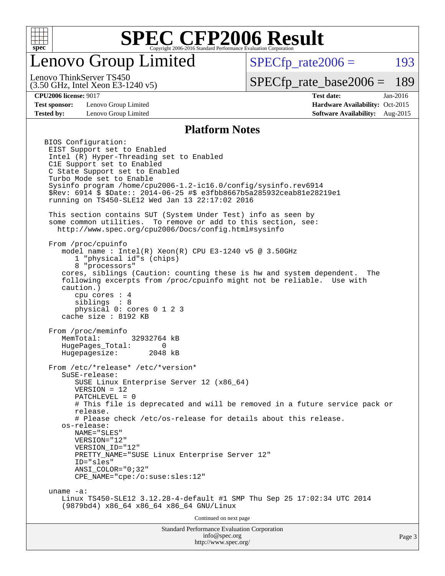

### enovo Group Limited

 $SPECTp\_rate2006 = 193$ 

(3.50 GHz, Intel Xeon E3-1240 v5) Lenovo ThinkServer TS450

[SPECfp\\_rate\\_base2006 =](http://www.spec.org/auto/cpu2006/Docs/result-fields.html#SPECfpratebase2006) 189

**[Test sponsor:](http://www.spec.org/auto/cpu2006/Docs/result-fields.html#Testsponsor)** Lenovo Group Limited **[Hardware Availability:](http://www.spec.org/auto/cpu2006/Docs/result-fields.html#HardwareAvailability)** Oct-2015

**[CPU2006 license:](http://www.spec.org/auto/cpu2006/Docs/result-fields.html#CPU2006license)** 9017 **[Test date:](http://www.spec.org/auto/cpu2006/Docs/result-fields.html#Testdate)** Jan-2016 **[Tested by:](http://www.spec.org/auto/cpu2006/Docs/result-fields.html#Testedby)** Lenovo Group Limited **[Software Availability:](http://www.spec.org/auto/cpu2006/Docs/result-fields.html#SoftwareAvailability)** Aug-2015

#### **[Platform Notes](http://www.spec.org/auto/cpu2006/Docs/result-fields.html#PlatformNotes)**

Standard Performance Evaluation Corporation [info@spec.org](mailto:info@spec.org) BIOS Configuration: EIST Support set to Enabled Intel (R) Hyper-Threading set to Enabled C1E Support set to Enabled C State Support set to Enabled Turbo Mode set to Enable Sysinfo program /home/cpu2006-1.2-ic16.0/config/sysinfo.rev6914 \$Rev: 6914 \$ \$Date:: 2014-06-25 #\$ e3fbb8667b5a285932ceab81e28219e1 running on TS450-SLE12 Wed Jan 13 22:17:02 2016 This section contains SUT (System Under Test) info as seen by some common utilities. To remove or add to this section, see: <http://www.spec.org/cpu2006/Docs/config.html#sysinfo> From /proc/cpuinfo model name : Intel(R) Xeon(R) CPU E3-1240 v5 @ 3.50GHz 1 "physical id"s (chips) 8 "processors" cores, siblings (Caution: counting these is hw and system dependent. The following excerpts from /proc/cpuinfo might not be reliable. Use with caution.) cpu cores : 4 siblings : 8 physical 0: cores 0 1 2 3 cache size : 8192 KB From /proc/meminfo MemTotal: 32932764 kB HugePages\_Total: 0 Hugepagesize: 2048 kB From /etc/\*release\* /etc/\*version\* SuSE-release: SUSE Linux Enterprise Server 12 (x86\_64) VERSION = 12 PATCHLEVEL = 0 # This file is deprecated and will be removed in a future service pack or release. # Please check /etc/os-release for details about this release. os-release: NAME="SLES" VERSION="12" VERSION\_ID="12" PRETTY\_NAME="SUSE\_Linux Enterprise Server 12" ID="sles" ANSI\_COLOR="0;32" CPE\_NAME="cpe:/o:suse:sles:12" uname -a: Linux TS450-SLE12 3.12.28-4-default #1 SMP Thu Sep 25 17:02:34 UTC 2014 (9879bd4) x86\_64 x86\_64 x86\_64 GNU/Linux Continued on next page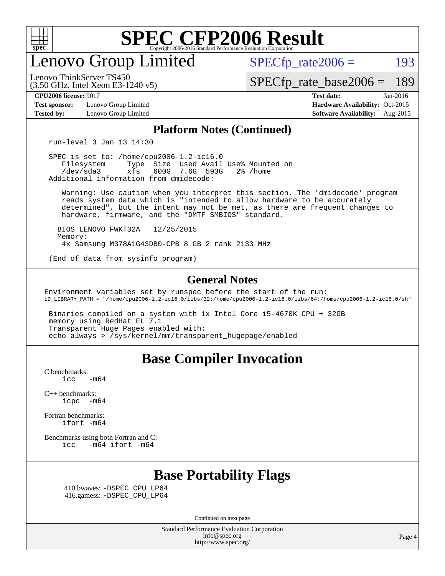

enovo Group Limited

 $SPECTp\_rate2006 = 193$ 

[SPECfp\\_rate\\_base2006 =](http://www.spec.org/auto/cpu2006/Docs/result-fields.html#SPECfpratebase2006) 189

(3.50 GHz, Intel Xeon E3-1240 v5) Lenovo ThinkServer TS450

**[Test sponsor:](http://www.spec.org/auto/cpu2006/Docs/result-fields.html#Testsponsor)** Lenovo Group Limited **[Hardware Availability:](http://www.spec.org/auto/cpu2006/Docs/result-fields.html#HardwareAvailability)** Oct-2015

**[CPU2006 license:](http://www.spec.org/auto/cpu2006/Docs/result-fields.html#CPU2006license)** 9017 **[Test date:](http://www.spec.org/auto/cpu2006/Docs/result-fields.html#Testdate)** Jan-2016 **[Tested by:](http://www.spec.org/auto/cpu2006/Docs/result-fields.html#Testedby)** Lenovo Group Limited **[Software Availability:](http://www.spec.org/auto/cpu2006/Docs/result-fields.html#SoftwareAvailability)** Aug-2015

#### **[Platform Notes \(Continued\)](http://www.spec.org/auto/cpu2006/Docs/result-fields.html#PlatformNotes)**

run-level 3 Jan 13 14:30

 SPEC is set to: /home/cpu2006-1.2-ic16.0 Filesystem Type Size Used Avail Use% Mounted on<br>
/dev/sda3 xfs 600G 7.6G 593G 2% /home 600G 7.6G 593G Additional information from dmidecode:

 Warning: Use caution when you interpret this section. The 'dmidecode' program reads system data which is "intended to allow hardware to be accurately determined", but the intent may not be met, as there are frequent changes to hardware, firmware, and the "DMTF SMBIOS" standard.

 BIOS LENOVO FWKT32A 12/25/2015 Memory: 4x Samsung M378A1G43DB0-CPB 8 GB 2 rank 2133 MHz

(End of data from sysinfo program)

#### **[General Notes](http://www.spec.org/auto/cpu2006/Docs/result-fields.html#GeneralNotes)**

Environment variables set by runspec before the start of the run: LD\_LIBRARY\_PATH = "/home/cpu2006-1.2-ic16.0/libs/32:/home/cpu2006-1.2-ic16.0/libs/64:/home/cpu2006-1.2-ic16.0/sh"

 Binaries compiled on a system with 1x Intel Core i5-4670K CPU + 32GB memory using RedHat EL 7.1 Transparent Huge Pages enabled with: echo always > /sys/kernel/mm/transparent\_hugepage/enabled

#### **[Base Compiler Invocation](http://www.spec.org/auto/cpu2006/Docs/result-fields.html#BaseCompilerInvocation)**

[C benchmarks](http://www.spec.org/auto/cpu2006/Docs/result-fields.html#Cbenchmarks):  $\text{icc}$  -m64

[C++ benchmarks:](http://www.spec.org/auto/cpu2006/Docs/result-fields.html#CXXbenchmarks) [icpc -m64](http://www.spec.org/cpu2006/results/res2016q1/cpu2006-20160125-38882.flags.html#user_CXXbase_intel_icpc_64bit_bedb90c1146cab66620883ef4f41a67e)

[Fortran benchmarks](http://www.spec.org/auto/cpu2006/Docs/result-fields.html#Fortranbenchmarks): [ifort -m64](http://www.spec.org/cpu2006/results/res2016q1/cpu2006-20160125-38882.flags.html#user_FCbase_intel_ifort_64bit_ee9d0fb25645d0210d97eb0527dcc06e)

[Benchmarks using both Fortran and C](http://www.spec.org/auto/cpu2006/Docs/result-fields.html#BenchmarksusingbothFortranandC): [icc -m64](http://www.spec.org/cpu2006/results/res2016q1/cpu2006-20160125-38882.flags.html#user_CC_FCbase_intel_icc_64bit_0b7121f5ab7cfabee23d88897260401c) [ifort -m64](http://www.spec.org/cpu2006/results/res2016q1/cpu2006-20160125-38882.flags.html#user_CC_FCbase_intel_ifort_64bit_ee9d0fb25645d0210d97eb0527dcc06e)

#### **[Base Portability Flags](http://www.spec.org/auto/cpu2006/Docs/result-fields.html#BasePortabilityFlags)**

 410.bwaves: [-DSPEC\\_CPU\\_LP64](http://www.spec.org/cpu2006/results/res2016q1/cpu2006-20160125-38882.flags.html#suite_basePORTABILITY410_bwaves_DSPEC_CPU_LP64) 416.gamess: [-DSPEC\\_CPU\\_LP64](http://www.spec.org/cpu2006/results/res2016q1/cpu2006-20160125-38882.flags.html#suite_basePORTABILITY416_gamess_DSPEC_CPU_LP64)

Continued on next page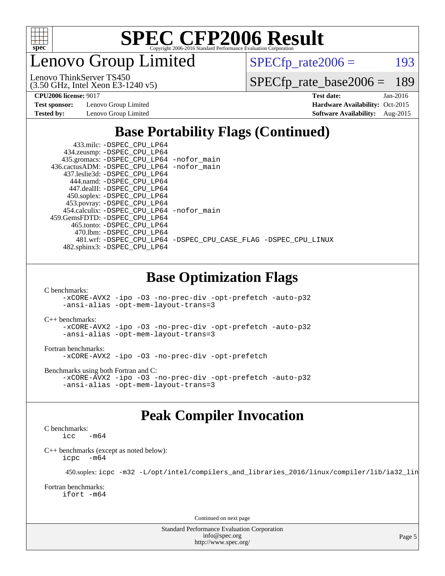

enovo Group Limited

 $SPECTp_rate2006 = 193$ 

(3.50 GHz, Intel Xeon E3-1240 v5) Lenovo ThinkServer TS450

[SPECfp\\_rate\\_base2006 =](http://www.spec.org/auto/cpu2006/Docs/result-fields.html#SPECfpratebase2006) 189

**[Test sponsor:](http://www.spec.org/auto/cpu2006/Docs/result-fields.html#Testsponsor)** Lenovo Group Limited **[Hardware Availability:](http://www.spec.org/auto/cpu2006/Docs/result-fields.html#HardwareAvailability)** Oct-2015

**[CPU2006 license:](http://www.spec.org/auto/cpu2006/Docs/result-fields.html#CPU2006license)** 9017 **[Test date:](http://www.spec.org/auto/cpu2006/Docs/result-fields.html#Testdate)** Jan-2016 **[Tested by:](http://www.spec.org/auto/cpu2006/Docs/result-fields.html#Testedby)** Lenovo Group Limited **[Software Availability:](http://www.spec.org/auto/cpu2006/Docs/result-fields.html#SoftwareAvailability)** Aug-2015

### **[Base Portability Flags \(Continued\)](http://www.spec.org/auto/cpu2006/Docs/result-fields.html#BasePortabilityFlags)**

| 433.milc: -DSPEC CPU LP64                   |                                                                |
|---------------------------------------------|----------------------------------------------------------------|
| 434.zeusmp: -DSPEC_CPU_LP64                 |                                                                |
| 435.gromacs: -DSPEC_CPU_LP64 -nofor_main    |                                                                |
| 436.cactusADM: -DSPEC CPU LP64 -nofor main  |                                                                |
| 437.leslie3d: -DSPEC CPU LP64               |                                                                |
| 444.namd: - DSPEC CPU LP64                  |                                                                |
| 447.dealII: -DSPEC CPU LP64                 |                                                                |
| 450.soplex: -DSPEC_CPU_LP64                 |                                                                |
| 453.povray: -DSPEC_CPU_LP64                 |                                                                |
| 454.calculix: - DSPEC CPU LP64 - nofor main |                                                                |
| 459. GemsFDTD: - DSPEC CPU LP64             |                                                                |
| 465.tonto: -DSPEC CPU LP64                  |                                                                |
| 470.1bm: - DSPEC CPU LP64                   |                                                                |
|                                             | 481.wrf: -DSPEC_CPU_LP64 -DSPEC_CPU_CASE_FLAG -DSPEC_CPU_LINUX |
| 482.sphinx3: -DSPEC_CPU_LP64                |                                                                |
|                                             |                                                                |
|                                             |                                                                |

#### **[Base Optimization Flags](http://www.spec.org/auto/cpu2006/Docs/result-fields.html#BaseOptimizationFlags)**

[C benchmarks](http://www.spec.org/auto/cpu2006/Docs/result-fields.html#Cbenchmarks):

[-xCORE-AVX2](http://www.spec.org/cpu2006/results/res2016q1/cpu2006-20160125-38882.flags.html#user_CCbase_f-xAVX2_5f5fc0cbe2c9f62c816d3e45806c70d7) [-ipo](http://www.spec.org/cpu2006/results/res2016q1/cpu2006-20160125-38882.flags.html#user_CCbase_f-ipo) [-O3](http://www.spec.org/cpu2006/results/res2016q1/cpu2006-20160125-38882.flags.html#user_CCbase_f-O3) [-no-prec-div](http://www.spec.org/cpu2006/results/res2016q1/cpu2006-20160125-38882.flags.html#user_CCbase_f-no-prec-div) [-opt-prefetch](http://www.spec.org/cpu2006/results/res2016q1/cpu2006-20160125-38882.flags.html#user_CCbase_f-opt-prefetch) [-auto-p32](http://www.spec.org/cpu2006/results/res2016q1/cpu2006-20160125-38882.flags.html#user_CCbase_f-auto-p32) [-ansi-alias](http://www.spec.org/cpu2006/results/res2016q1/cpu2006-20160125-38882.flags.html#user_CCbase_f-ansi-alias) [-opt-mem-layout-trans=3](http://www.spec.org/cpu2006/results/res2016q1/cpu2006-20160125-38882.flags.html#user_CCbase_f-opt-mem-layout-trans_a7b82ad4bd7abf52556d4961a2ae94d5)

[C++ benchmarks:](http://www.spec.org/auto/cpu2006/Docs/result-fields.html#CXXbenchmarks)

[-xCORE-AVX2](http://www.spec.org/cpu2006/results/res2016q1/cpu2006-20160125-38882.flags.html#user_CXXbase_f-xAVX2_5f5fc0cbe2c9f62c816d3e45806c70d7) [-ipo](http://www.spec.org/cpu2006/results/res2016q1/cpu2006-20160125-38882.flags.html#user_CXXbase_f-ipo) [-O3](http://www.spec.org/cpu2006/results/res2016q1/cpu2006-20160125-38882.flags.html#user_CXXbase_f-O3) [-no-prec-div](http://www.spec.org/cpu2006/results/res2016q1/cpu2006-20160125-38882.flags.html#user_CXXbase_f-no-prec-div) [-opt-prefetch](http://www.spec.org/cpu2006/results/res2016q1/cpu2006-20160125-38882.flags.html#user_CXXbase_f-opt-prefetch) [-auto-p32](http://www.spec.org/cpu2006/results/res2016q1/cpu2006-20160125-38882.flags.html#user_CXXbase_f-auto-p32) [-ansi-alias](http://www.spec.org/cpu2006/results/res2016q1/cpu2006-20160125-38882.flags.html#user_CXXbase_f-ansi-alias) [-opt-mem-layout-trans=3](http://www.spec.org/cpu2006/results/res2016q1/cpu2006-20160125-38882.flags.html#user_CXXbase_f-opt-mem-layout-trans_a7b82ad4bd7abf52556d4961a2ae94d5)

[Fortran benchmarks](http://www.spec.org/auto/cpu2006/Docs/result-fields.html#Fortranbenchmarks): [-xCORE-AVX2](http://www.spec.org/cpu2006/results/res2016q1/cpu2006-20160125-38882.flags.html#user_FCbase_f-xAVX2_5f5fc0cbe2c9f62c816d3e45806c70d7) [-ipo](http://www.spec.org/cpu2006/results/res2016q1/cpu2006-20160125-38882.flags.html#user_FCbase_f-ipo) [-O3](http://www.spec.org/cpu2006/results/res2016q1/cpu2006-20160125-38882.flags.html#user_FCbase_f-O3) [-no-prec-div](http://www.spec.org/cpu2006/results/res2016q1/cpu2006-20160125-38882.flags.html#user_FCbase_f-no-prec-div) [-opt-prefetch](http://www.spec.org/cpu2006/results/res2016q1/cpu2006-20160125-38882.flags.html#user_FCbase_f-opt-prefetch)

[Benchmarks using both Fortran and C](http://www.spec.org/auto/cpu2006/Docs/result-fields.html#BenchmarksusingbothFortranandC): [-xCORE-AVX2](http://www.spec.org/cpu2006/results/res2016q1/cpu2006-20160125-38882.flags.html#user_CC_FCbase_f-xAVX2_5f5fc0cbe2c9f62c816d3e45806c70d7) [-ipo](http://www.spec.org/cpu2006/results/res2016q1/cpu2006-20160125-38882.flags.html#user_CC_FCbase_f-ipo) [-O3](http://www.spec.org/cpu2006/results/res2016q1/cpu2006-20160125-38882.flags.html#user_CC_FCbase_f-O3) [-no-prec-div](http://www.spec.org/cpu2006/results/res2016q1/cpu2006-20160125-38882.flags.html#user_CC_FCbase_f-no-prec-div) [-opt-prefetch](http://www.spec.org/cpu2006/results/res2016q1/cpu2006-20160125-38882.flags.html#user_CC_FCbase_f-opt-prefetch) [-auto-p32](http://www.spec.org/cpu2006/results/res2016q1/cpu2006-20160125-38882.flags.html#user_CC_FCbase_f-auto-p32) [-ansi-alias](http://www.spec.org/cpu2006/results/res2016q1/cpu2006-20160125-38882.flags.html#user_CC_FCbase_f-ansi-alias) [-opt-mem-layout-trans=3](http://www.spec.org/cpu2006/results/res2016q1/cpu2006-20160125-38882.flags.html#user_CC_FCbase_f-opt-mem-layout-trans_a7b82ad4bd7abf52556d4961a2ae94d5)

#### **[Peak Compiler Invocation](http://www.spec.org/auto/cpu2006/Docs/result-fields.html#PeakCompilerInvocation)**

[C benchmarks](http://www.spec.org/auto/cpu2006/Docs/result-fields.html#Cbenchmarks):  $-m64$ 

[C++ benchmarks \(except as noted below\):](http://www.spec.org/auto/cpu2006/Docs/result-fields.html#CXXbenchmarksexceptasnotedbelow) [icpc -m64](http://www.spec.org/cpu2006/results/res2016q1/cpu2006-20160125-38882.flags.html#user_CXXpeak_intel_icpc_64bit_bedb90c1146cab66620883ef4f41a67e)

450.soplex: [icpc -m32 -L/opt/intel/compilers\\_and\\_libraries\\_2016/linux/compiler/lib/ia32\\_lin](http://www.spec.org/cpu2006/results/res2016q1/cpu2006-20160125-38882.flags.html#user_peakCXXLD450_soplex_intel_icpc_b4f50a394bdb4597aa5879c16bc3f5c5)

[Fortran benchmarks](http://www.spec.org/auto/cpu2006/Docs/result-fields.html#Fortranbenchmarks): [ifort -m64](http://www.spec.org/cpu2006/results/res2016q1/cpu2006-20160125-38882.flags.html#user_FCpeak_intel_ifort_64bit_ee9d0fb25645d0210d97eb0527dcc06e)

Continued on next page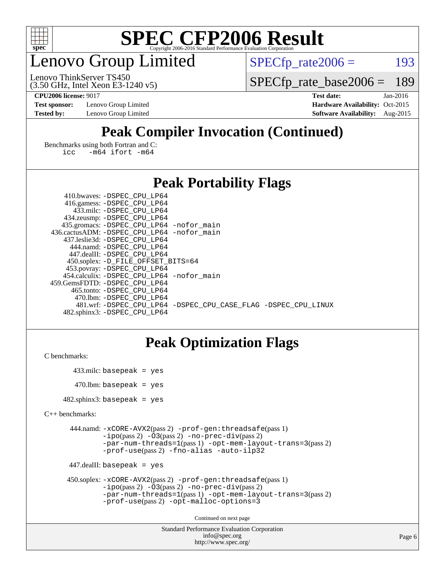

### enovo Group Limited

 $SPECTp_rate2006 = 193$ 

(3.50 GHz, Intel Xeon E3-1240 v5) Lenovo ThinkServer TS450

[SPECfp\\_rate\\_base2006 =](http://www.spec.org/auto/cpu2006/Docs/result-fields.html#SPECfpratebase2006) 189

**[Test sponsor:](http://www.spec.org/auto/cpu2006/Docs/result-fields.html#Testsponsor)** Lenovo Group Limited **[Hardware Availability:](http://www.spec.org/auto/cpu2006/Docs/result-fields.html#HardwareAvailability)** Oct-2015

**[CPU2006 license:](http://www.spec.org/auto/cpu2006/Docs/result-fields.html#CPU2006license)** 9017 **[Test date:](http://www.spec.org/auto/cpu2006/Docs/result-fields.html#Testdate)** Jan-2016 **[Tested by:](http://www.spec.org/auto/cpu2006/Docs/result-fields.html#Testedby)** Lenovo Group Limited **[Software Availability:](http://www.spec.org/auto/cpu2006/Docs/result-fields.html#SoftwareAvailability)** Aug-2015

### **[Peak Compiler Invocation \(Continued\)](http://www.spec.org/auto/cpu2006/Docs/result-fields.html#PeakCompilerInvocation)**

[Benchmarks using both Fortran and C](http://www.spec.org/auto/cpu2006/Docs/result-fields.html#BenchmarksusingbothFortranandC): [icc -m64](http://www.spec.org/cpu2006/results/res2016q1/cpu2006-20160125-38882.flags.html#user_CC_FCpeak_intel_icc_64bit_0b7121f5ab7cfabee23d88897260401c) [ifort -m64](http://www.spec.org/cpu2006/results/res2016q1/cpu2006-20160125-38882.flags.html#user_CC_FCpeak_intel_ifort_64bit_ee9d0fb25645d0210d97eb0527dcc06e)

#### **[Peak Portability Flags](http://www.spec.org/auto/cpu2006/Docs/result-fields.html#PeakPortabilityFlags)**

| 410.bwaves: -DSPEC CPU LP64                 |                                                                |
|---------------------------------------------|----------------------------------------------------------------|
| 416.gamess: -DSPEC_CPU_LP64                 |                                                                |
| 433.milc: -DSPEC CPU LP64                   |                                                                |
| 434.zeusmp: -DSPEC_CPU_LP64                 |                                                                |
| 435.gromacs: -DSPEC_CPU_LP64 -nofor_main    |                                                                |
| 436.cactusADM: -DSPEC CPU LP64 -nofor main  |                                                                |
| 437.leslie3d: -DSPEC CPU LP64               |                                                                |
| 444.namd: - DSPEC_CPU LP64                  |                                                                |
| 447.dealII: -DSPEC CPU LP64                 |                                                                |
| 450.soplex: -D_FILE_OFFSET_BITS=64          |                                                                |
| 453.povray: -DSPEC_CPU_LP64                 |                                                                |
| 454.calculix: - DSPEC CPU LP64 - nofor main |                                                                |
| 459.GemsFDTD: -DSPEC CPU LP64               |                                                                |
| 465.tonto: - DSPEC CPU LP64                 |                                                                |
| 470.1bm: - DSPEC CPU LP64                   |                                                                |
|                                             | 481.wrf: -DSPEC CPU LP64 -DSPEC CPU CASE FLAG -DSPEC CPU LINUX |
| 482.sphinx3: -DSPEC CPU LP64                |                                                                |

#### **[Peak Optimization Flags](http://www.spec.org/auto/cpu2006/Docs/result-fields.html#PeakOptimizationFlags)**

```
C benchmarks:
```

```
 433.milc: basepeak = yes
470.lbm: basepeak = yes
```
482.sphinx3: basepeak = yes

```
C++ benchmarks:
```

```
 444.namd: -xCORE-AVX2(pass 2) -prof-gen:threadsafe(pass 1)
         -i\text{po}(pass 2) -\overline{O}3(pass 2)-no-prec-div(pass 2)
         -par-num-threads=1(pass 1) -opt-mem-layout-trans=3(pass 2)
         -prof-use(pass 2) -fno-alias -auto-ilp32
```

```
 447.dealII: basepeak = yes
```

```
 450.soplex: -xCORE-AVX2(pass 2) -prof-gen:threadsafe(pass 1)
         -ipo(pass 2) -O3(pass 2) -no-prec-div(pass 2)
         -par-num-threads=1(pass 1) -opt-mem-layout-trans=3(pass 2)
         -prof-use(pass 2) -opt-malloc-options=3
```
Continued on next page

```
Standard Performance Evaluation Corporation
              info@spec.org
           http://www.spec.org/
```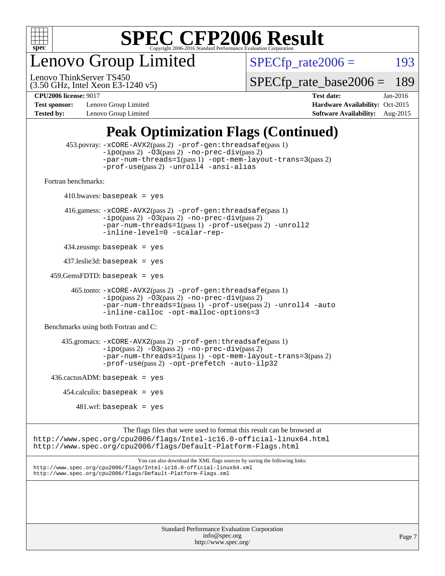

enovo Group Limited

 $SPECTp_rate2006 = 193$ 

(3.50 GHz, Intel Xeon E3-1240 v5) Lenovo ThinkServer TS450

[SPECfp\\_rate\\_base2006 =](http://www.spec.org/auto/cpu2006/Docs/result-fields.html#SPECfpratebase2006) 189

**[Test sponsor:](http://www.spec.org/auto/cpu2006/Docs/result-fields.html#Testsponsor)** Lenovo Group Limited **[Hardware Availability:](http://www.spec.org/auto/cpu2006/Docs/result-fields.html#HardwareAvailability)** Oct-2015

**[CPU2006 license:](http://www.spec.org/auto/cpu2006/Docs/result-fields.html#CPU2006license)** 9017 **[Test date:](http://www.spec.org/auto/cpu2006/Docs/result-fields.html#Testdate)** Jan-2016 **[Tested by:](http://www.spec.org/auto/cpu2006/Docs/result-fields.html#Testedby)** Lenovo Group Limited **[Software Availability:](http://www.spec.org/auto/cpu2006/Docs/result-fields.html#SoftwareAvailability)** Aug-2015

#### **[Peak Optimization Flags \(Continued\)](http://www.spec.org/auto/cpu2006/Docs/result-fields.html#PeakOptimizationFlags)**

```
 453.povray: -xCORE-AVX2(pass 2) -prof-gen:threadsafe(pass 1)
                   -i\text{po}(pass 2) -\overset{\sim}{O}3(pass 2)-no-prec-div(pass 2)
                   -par-num-threads=1(pass 1) -opt-mem-layout-trans=3(pass 2)
                   -prof-use(pass 2) -unroll4 -ansi-alias
   Fortran benchmarks: 
        410.bwaves: basepeak = yes 416.gamess: -xCORE-AVX2(pass 2) -prof-gen:threadsafe(pass 1)
                   -ipo(pass 2) -O3(pass 2) -no-prec-div(pass 2)
                   -par-num-threads=1(pass 1) -prof-use(pass 2) -unroll2
                   -inline-level=0 -scalar-rep-
         434.zeusmp: basepeak = yes
         437.leslie3d: basepeak = yes
     459.GemsFDTD: basepeak = yes
           465.tonto: -xCORE-AVX2(pass 2) -prof-gen:threadsafe(pass 1)
                   -i\text{po}(pass 2) -03(pass 2)-no-prec-div(pass 2)
                   -par-num-threads=1(pass 1) -prof-use(pass 2) -unroll4 -auto
                   -inline-calloc -opt-malloc-options=3
   Benchmarks using both Fortran and C: 
         435.gromacs: -xCORE-AVX2(pass 2) -prof-gen:threadsafe(pass 1)
                   -i\text{po}(pass 2) -03(pass 2) -no-prec-div(pass 2)-par-num-threads=1(pass 1) -opt-mem-layout-trans=3(pass 2)
                   -prof-use(pass 2) -opt-prefetch -auto-ilp32
    436.cactusADM:basepeak = yes454.calculix: basepeak = yes
            481 \text{.m}: basepeak = yes
                         The flags files that were used to format this result can be browsed at
http://www.spec.org/cpu2006/flags/Intel-ic16.0-official-linux64.html
http://www.spec.org/cpu2006/flags/Default-Platform-Flags.html
                             You can also download the XML flags sources by saving the following links:
http://www.spec.org/cpu2006/flags/Intel-ic16.0-official-linux64.xml
http://www.spec.org/cpu2006/flags/Default-Platform-Flags.xml
```